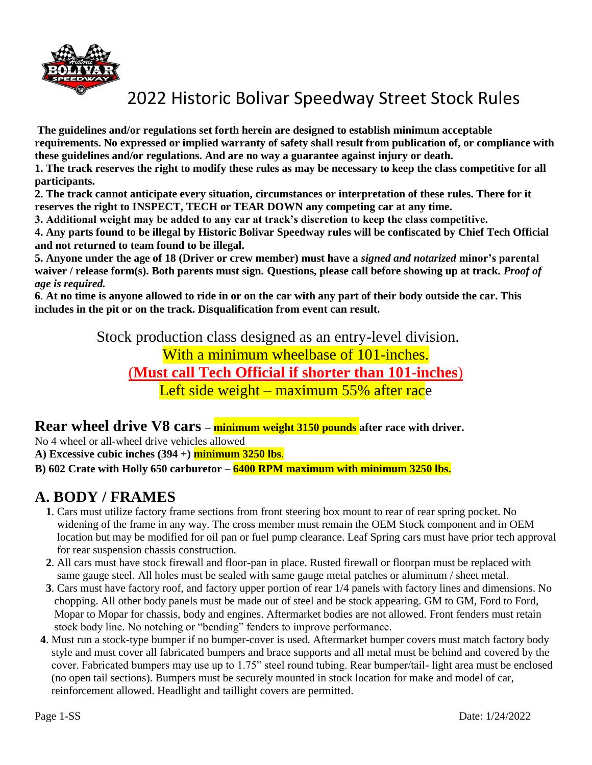

**The guidelines and/or regulations set forth herein are designed to establish minimum acceptable requirements. No expressed or implied warranty of safety shall result from publication of, or compliance with these guidelines and/or regulations. And are no way a guarantee against injury or death.** 

**1. The track reserves the right to modify these rules as may be necessary to keep the class competitive for all participants.** 

**2. The track cannot anticipate every situation, circumstances or interpretation of these rules. There for it reserves the right to INSPECT, TECH or TEAR DOWN any competing car at any time.** 

**3. Additional weight may be added to any car at track's discretion to keep the class competitive.** 

**4. Any parts found to be illegal by Historic Bolivar Speedway rules will be confiscated by Chief Tech Official and not returned to team found to be illegal.** 

**5. Anyone under the age of 18 (Driver or crew member) must have a** *signed and notarized* **minor's parental waiver / release form(s). Both parents must sign. Questions, please call before showing up at track.** *Proof of age is required.* 

**6**. **At no time is anyone allowed to ride in or on the car with any part of their body outside the car. This includes in the pit or on the track. Disqualification from event can result.** 

Stock production class designed as an entry-level division.

With a minimum wheelbase of 101-inches. (**Must call Tech Official if shorter than 101-inches**) Left side weight – maximum 55% after race

**Rear wheel drive V8 cars – minimum weight 3150 pounds after race with driver.**

No 4 wheel or all-wheel drive vehicles allowed

**A) Excessive cubic inches (394 +) minimum 3250 lbs**.

**B) 602 Crate with Holly 650 carburetor – 6400 RPM maximum with minimum 3250 lbs.**

### **A. BODY / FRAMES**

- **1**. Cars must utilize factory frame sections from front steering box mount to rear of rear spring pocket. No widening of the frame in any way. The cross member must remain the OEM Stock component and in OEM location but may be modified for oil pan or fuel pump clearance. Leaf Spring cars must have prior tech approval for rear suspension chassis construction.
- **2**. All cars must have stock firewall and floor-pan in place. Rusted firewall or floorpan must be replaced with same gauge steel. All holes must be sealed with same gauge metal patches or aluminum / sheet metal.
- **3**. Cars must have factory roof, and factory upper portion of rear 1/4 panels with factory lines and dimensions. No chopping. All other body panels must be made out of steel and be stock appearing. GM to GM, Ford to Ford, Mopar to Mopar for chassis, body and engines. Aftermarket bodies are not allowed. Front fenders must retain stock body line. No notching or "bending" fenders to improve performance.
- **4**. Must run a stock-type bumper if no bumper-cover is used. Aftermarket bumper covers must match factory body style and must cover all fabricated bumpers and brace supports and all metal must be behind and covered by the cover. Fabricated bumpers may use up to 1.75" steel round tubing. Rear bumper/tail- light area must be enclosed (no open tail sections). Bumpers must be securely mounted in stock location for make and model of car, reinforcement allowed. Headlight and taillight covers are permitted.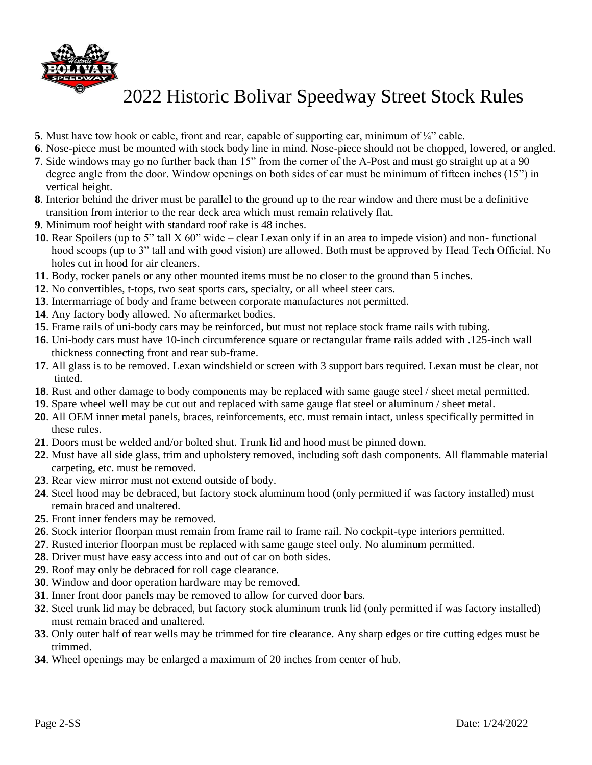

- **5**. Must have tow hook or cable, front and rear, capable of supporting car, minimum of  $\frac{1}{4}$ " cable.
- . Nose-piece must be mounted with stock body line in mind. Nose-piece should not be chopped, lowered, or angled.
- . Side windows may go no further back than 15" from the corner of the A-Post and must go straight up at a 90 degree angle from the door. Window openings on both sides of car must be minimum of fifteen inches (15") in vertical height.
- . Interior behind the driver must be parallel to the ground up to the rear window and there must be a definitive transition from interior to the rear deck area which must remain relatively flat.
- . Minimum roof height with standard roof rake is 48 inches.
- . Rear Spoilers (up to 5" tall X 60" wide clear Lexan only if in an area to impede vision) and non- functional hood scoops (up to 3" tall and with good vision) are allowed. Both must be approved by Head Tech Official. No holes cut in hood for air cleaners.
- . Body, rocker panels or any other mounted items must be no closer to the ground than 5 inches.
- . No convertibles, t-tops, two seat sports cars, specialty, or all wheel steer cars.
- . Intermarriage of body and frame between corporate manufactures not permitted.
- . Any factory body allowed. No aftermarket bodies.
- . Frame rails of uni-body cars may be reinforced, but must not replace stock frame rails with tubing.
- . Uni-body cars must have 10-inch circumference square or rectangular frame rails added with .125-inch wall thickness connecting front and rear sub-frame.
- . All glass is to be removed. Lexan windshield or screen with 3 support bars required. Lexan must be clear, not tinted.
- . Rust and other damage to body components may be replaced with same gauge steel / sheet metal permitted.
- . Spare wheel well may be cut out and replaced with same gauge flat steel or aluminum / sheet metal.
- . All OEM inner metal panels, braces, reinforcements, etc. must remain intact, unless specifically permitted in these rules.
- . Doors must be welded and/or bolted shut. Trunk lid and hood must be pinned down.
- . Must have all side glass, trim and upholstery removed, including soft dash components. All flammable material carpeting, etc. must be removed.
- . Rear view mirror must not extend outside of body.
- . Steel hood may be debraced, but factory stock aluminum hood (only permitted if was factory installed) must remain braced and unaltered.
- . Front inner fenders may be removed.
- . Stock interior floorpan must remain from frame rail to frame rail. No cockpit-type interiors permitted.
- . Rusted interior floorpan must be replaced with same gauge steel only. No aluminum permitted.
- . Driver must have easy access into and out of car on both sides.
- . Roof may only be debraced for roll cage clearance.
- . Window and door operation hardware may be removed.
- . Inner front door panels may be removed to allow for curved door bars.
- . Steel trunk lid may be debraced, but factory stock aluminum trunk lid (only permitted if was factory installed) must remain braced and unaltered.
- . Only outer half of rear wells may be trimmed for tire clearance. Any sharp edges or tire cutting edges must be trimmed.
- . Wheel openings may be enlarged a maximum of 20 inches from center of hub.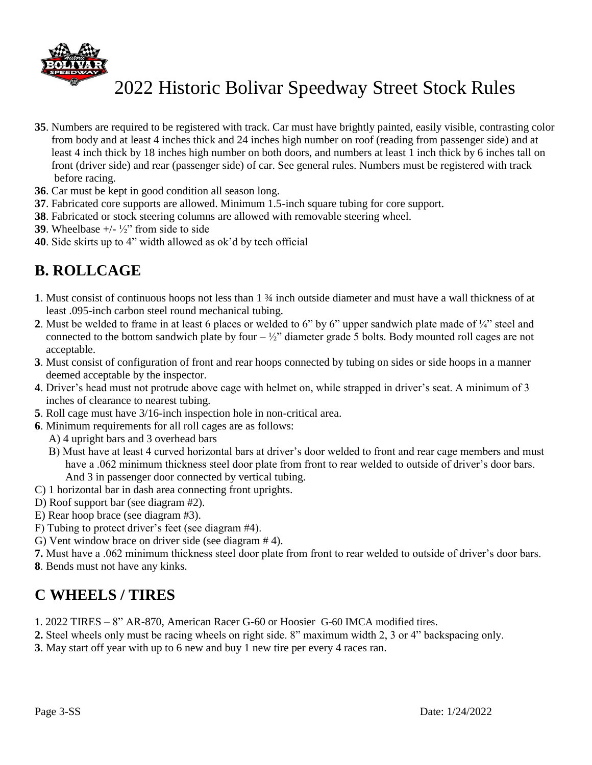

- **35**. Numbers are required to be registered with track. Car must have brightly painted, easily visible, contrasting color from body and at least 4 inches thick and 24 inches high number on roof (reading from passenger side) and at least 4 inch thick by 18 inches high number on both doors, and numbers at least 1 inch thick by 6 inches tall on front (driver side) and rear (passenger side) of car. See general rules. Numbers must be registered with track before racing.
- **36**. Car must be kept in good condition all season long.
- **37**. Fabricated core supports are allowed. Minimum 1.5-inch square tubing for core support.
- **38**. Fabricated or stock steering columns are allowed with removable steering wheel.
- **39**. Wheelbase  $+/- \frac{1}{2}$  from side to side
- **40**. Side skirts up to 4" width allowed as ok'd by tech official

### **B. ROLLCAGE**

- **1**. Must consist of continuous hoops not less than 1 ¾ inch outside diameter and must have a wall thickness of at least .095-inch carbon steel round mechanical tubing.
- **2**. Must be welded to frame in at least 6 places or welded to 6" by 6" upper sandwich plate made of ¼" steel and connected to the bottom sandwich plate by four  $-\frac{1}{2}$ " diameter grade 5 bolts. Body mounted roll cages are not acceptable.
- **3**. Must consist of configuration of front and rear hoops connected by tubing on sides or side hoops in a manner deemed acceptable by the inspector.
- **4**. Driver's head must not protrude above cage with helmet on, while strapped in driver's seat. A minimum of 3 inches of clearance to nearest tubing.
- **5**. Roll cage must have 3/16-inch inspection hole in non-critical area.
- **6**. Minimum requirements for all roll cages are as follows:
	- A) 4 upright bars and 3 overhead bars
	- B) Must have at least 4 curved horizontal bars at driver's door welded to front and rear cage members and must have a .062 minimum thickness steel door plate from front to rear welded to outside of driver's door bars. And 3 in passenger door connected by vertical tubing.
- C) 1 horizontal bar in dash area connecting front uprights.
- D) Roof support bar (see diagram #2).
- E) Rear hoop brace (see diagram #3).
- F) Tubing to protect driver's feet (see diagram #4).
- G) Vent window brace on driver side (see diagram # 4).
- **7.** Must have a .062 minimum thickness steel door plate from front to rear welded to outside of driver's door bars.
- **8**. Bends must not have any kinks.

### **C WHEELS / TIRES**

- **1**. 2022 TIRES 8" AR-870, American Racer G-60 or Hoosier G-60 IMCA modified tires.
- **2.** Steel wheels only must be racing wheels on right side. 8" maximum width 2, 3 or 4" backspacing only.
- **3**. May start off year with up to 6 new and buy 1 new tire per every 4 races ran.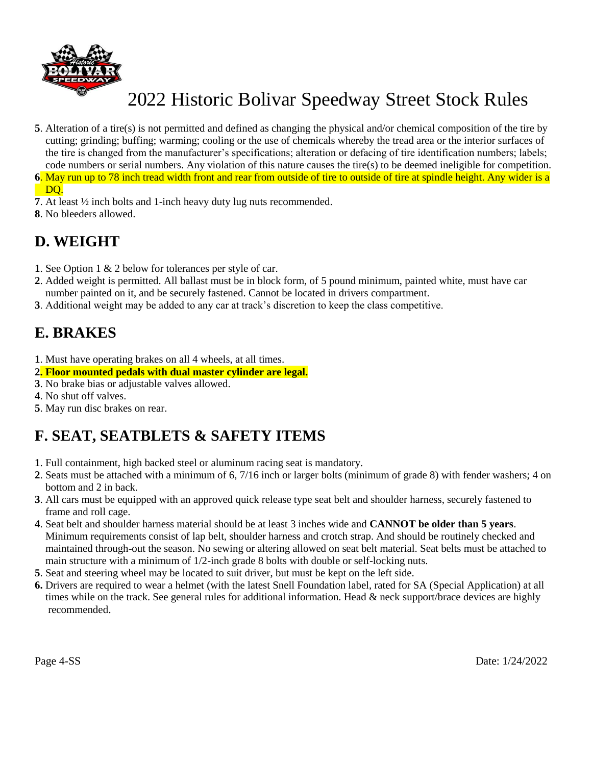

- **5**. Alteration of a tire(s) is not permitted and defined as changing the physical and/or chemical composition of the tire by cutting; grinding; buffing; warming; cooling or the use of chemicals whereby the tread area or the interior surfaces of the tire is changed from the manufacturer's specifications; alteration or defacing of tire identification numbers; labels; code numbers or serial numbers. Any violation of this nature causes the tire(s) to be deemed ineligible for competition.
- **6**. May run up to 78 inch tread width front and rear from outside of tire to outside of tire at spindle height. Any wider is a DO.
- **7**. At least ½ inch bolts and 1-inch heavy duty lug nuts recommended.
- **8**. No bleeders allowed.

### **D. WEIGHT**

- **1**. See Option 1 & 2 below for tolerances per style of car.
- **2**. Added weight is permitted. All ballast must be in block form, of 5 pound minimum, painted white, must have car number painted on it, and be securely fastened. Cannot be located in drivers compartment.
- **3**. Additional weight may be added to any car at track's discretion to keep the class competitive.

### **E. BRAKES**

- **1**. Must have operating brakes on all 4 wheels, at all times.
- **2. Floor mounted pedals with dual master cylinder are legal.**
- **3**. No brake bias or adjustable valves allowed.
- **4**. No shut off valves.
- **5**. May run disc brakes on rear.

## **F. SEAT, SEATBLETS & SAFETY ITEMS**

- **1**. Full containment, high backed steel or aluminum racing seat is mandatory.
- **2**. Seats must be attached with a minimum of 6, 7/16 inch or larger bolts (minimum of grade 8) with fender washers; 4 on bottom and 2 in back.
- **3**. All cars must be equipped with an approved quick release type seat belt and shoulder harness, securely fastened to frame and roll cage.
- **4**. Seat belt and shoulder harness material should be at least 3 inches wide and **CANNOT be older than 5 years**. Minimum requirements consist of lap belt, shoulder harness and crotch strap. And should be routinely checked and maintained through-out the season. No sewing or altering allowed on seat belt material. Seat belts must be attached to main structure with a minimum of 1/2-inch grade 8 bolts with double or self-locking nuts.
- **5**. Seat and steering wheel may be located to suit driver, but must be kept on the left side.
- **6.** Drivers are required to wear a helmet (with the latest Snell Foundation label, rated for SA (Special Application) at all times while on the track. See general rules for additional information. Head & neck support/brace devices are highly recommended.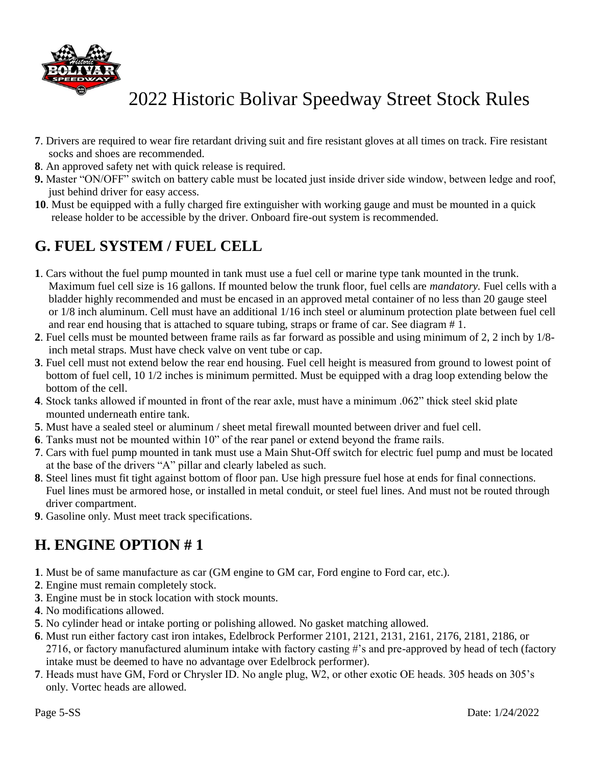

- **7**. Drivers are required to wear fire retardant driving suit and fire resistant gloves at all times on track. Fire resistant socks and shoes are recommended.
- **8**. An approved safety net with quick release is required.
- **9.** Master "ON/OFF" switch on battery cable must be located just inside driver side window, between ledge and roof, just behind driver for easy access.
- **10**. Must be equipped with a fully charged fire extinguisher with working gauge and must be mounted in a quick release holder to be accessible by the driver. Onboard fire-out system is recommended.

### **G. FUEL SYSTEM / FUEL CELL**

- **1**. Cars without the fuel pump mounted in tank must use a fuel cell or marine type tank mounted in the trunk. Maximum fuel cell size is 16 gallons. If mounted below the trunk floor, fuel cells are *mandatory.* Fuel cells with a bladder highly recommended and must be encased in an approved metal container of no less than 20 gauge steel or 1/8 inch aluminum. Cell must have an additional 1/16 inch steel or aluminum protection plate between fuel cell and rear end housing that is attached to square tubing, straps or frame of car. See diagram # 1.
- **2**. Fuel cells must be mounted between frame rails as far forward as possible and using minimum of 2, 2 inch by 1/8 inch metal straps. Must have check valve on vent tube or cap.
- **3**. Fuel cell must not extend below the rear end housing. Fuel cell height is measured from ground to lowest point of bottom of fuel cell, 10 1/2 inches is minimum permitted. Must be equipped with a drag loop extending below the bottom of the cell.
- **4**. Stock tanks allowed if mounted in front of the rear axle, must have a minimum .062" thick steel skid plate mounted underneath entire tank.
- **5**. Must have a sealed steel or aluminum / sheet metal firewall mounted between driver and fuel cell.
- **6**. Tanks must not be mounted within 10" of the rear panel or extend beyond the frame rails.
- **7**. Cars with fuel pump mounted in tank must use a Main Shut-Off switch for electric fuel pump and must be located at the base of the drivers "A" pillar and clearly labeled as such.
- **8**. Steel lines must fit tight against bottom of floor pan. Use high pressure fuel hose at ends for final connections. Fuel lines must be armored hose, or installed in metal conduit, or steel fuel lines. And must not be routed through driver compartment.
- **9**. Gasoline only. Must meet track specifications.

### **H. ENGINE OPTION # 1**

- **1**. Must be of same manufacture as car (GM engine to GM car, Ford engine to Ford car, etc.).
- **2**. Engine must remain completely stock.
- **3**. Engine must be in stock location with stock mounts.
- **4**. No modifications allowed.
- **5**. No cylinder head or intake porting or polishing allowed. No gasket matching allowed.
- **6**. Must run either factory cast iron intakes, Edelbrock Performer 2101, 2121, 2131, 2161, 2176, 2181, 2186, or 2716, or factory manufactured aluminum intake with factory casting #'s and pre-approved by head of tech (factory intake must be deemed to have no advantage over Edelbrock performer).
- **7**. Heads must have GM, Ford or Chrysler ID. No angle plug, W2, or other exotic OE heads. 305 heads on 305's only. Vortec heads are allowed.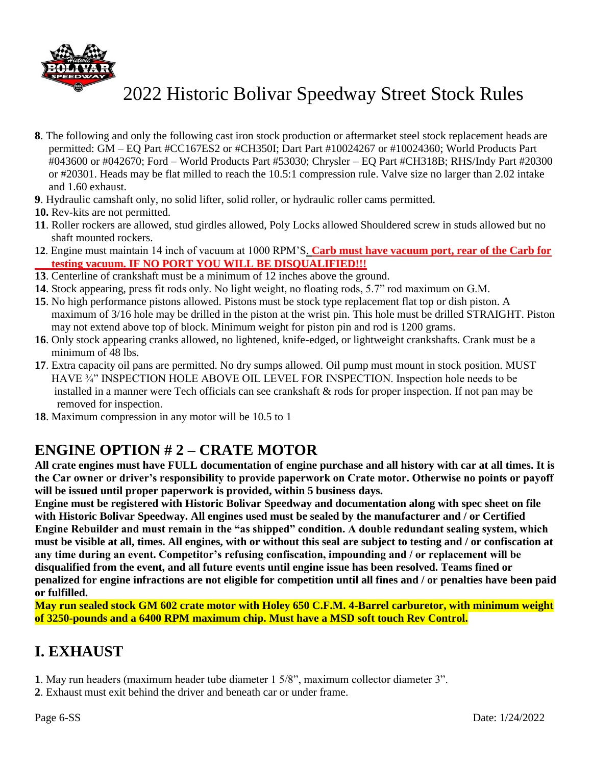

- **8**. The following and only the following cast iron stock production or aftermarket steel stock replacement heads are permitted: GM – EQ Part #CC167ES2 or #CH350I; Dart Part #10024267 or #10024360; World Products Part #043600 or #042670; Ford – World Products Part #53030; Chrysler – EQ Part #CH318B; RHS/Indy Part #20300 or #20301. Heads may be flat milled to reach the 10.5:1 compression rule. Valve size no larger than 2.02 intake and 1.60 exhaust.
- **9**. Hydraulic camshaft only, no solid lifter, solid roller, or hydraulic roller cams permitted.
- **10.** Rev-kits are not permitted.
- **11**. Roller rockers are allowed, stud girdles allowed, Poly Locks allowed Shouldered screw in studs allowed but no shaft mounted rockers.
- **12**. Engine must maintain 14 inch of vacuum at 1000 RPM'S. **Carb must have vacuum port, rear of the Carb for testing vacuum. IF NO PORT YOU WILL BE DISQUALIFIED!!!**
- **13**. Centerline of crankshaft must be a minimum of 12 inches above the ground.
- **14**. Stock appearing, press fit rods only. No light weight, no floating rods, 5.7" rod maximum on G.M.
- **15**. No high performance pistons allowed. Pistons must be stock type replacement flat top or dish piston. A maximum of 3/16 hole may be drilled in the piston at the wrist pin. This hole must be drilled STRAIGHT. Piston may not extend above top of block. Minimum weight for piston pin and rod is 1200 grams.
- **16**. Only stock appearing cranks allowed, no lightened, knife-edged, or lightweight crankshafts. Crank must be a minimum of 48 lbs.
- **17**. Extra capacity oil pans are permitted. No dry sumps allowed. Oil pump must mount in stock position. MUST HAVE ¾" INSPECTION HOLE ABOVE OIL LEVEL FOR INSPECTION. Inspection hole needs to be installed in a manner were Tech officials can see crankshaft & rods for proper inspection. If not pan may be removed for inspection.
- **18**. Maximum compression in any motor will be 10.5 to 1

### **ENGINE OPTION # 2 – CRATE MOTOR**

**All crate engines must have FULL documentation of engine purchase and all history with car at all times. It is the Car owner or driver's responsibility to provide paperwork on Crate motor. Otherwise no points or payoff will be issued until proper paperwork is provided, within 5 business days.** 

**Engine must be registered with Historic Bolivar Speedway and documentation along with spec sheet on file with Historic Bolivar Speedway. All engines used must be sealed by the manufacturer and / or Certified Engine Rebuilder and must remain in the "as shipped" condition. A double redundant sealing system, which must be visible at all, times. All engines, with or without this seal are subject to testing and / or confiscation at any time during an event. Competitor's refusing confiscation, impounding and / or replacement will be disqualified from the event, and all future events until engine issue has been resolved. Teams fined or penalized for engine infractions are not eligible for competition until all fines and / or penalties have been paid or fulfilled.** 

**May run sealed stock GM 602 crate motor with Holey 650 C.F.M. 4-Barrel carburetor, with minimum weight of 3250-pounds and a 6400 RPM maximum chip. Must have a MSD soft touch Rev Control.**

### **I. EXHAUST**

- **1**. May run headers (maximum header tube diameter 1 5/8", maximum collector diameter 3".
- **2**. Exhaust must exit behind the driver and beneath car or under frame.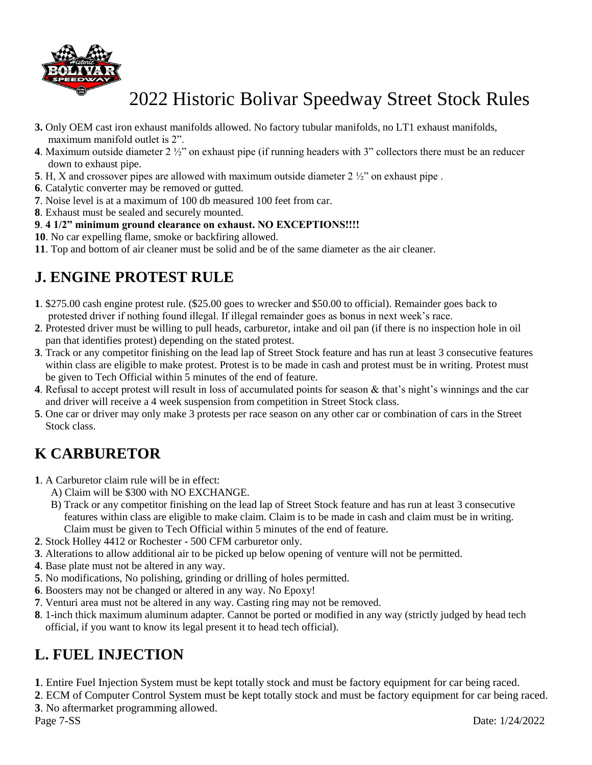

- **3.** Only OEM cast iron exhaust manifolds allowed. No factory tubular manifolds, no LT1 exhaust manifolds, maximum manifold outlet is 2".
- **4**. Maximum outside diameter 2 ½" on exhaust pipe (if running headers with 3" collectors there must be an reducer down to exhaust pipe.
- **5**. H, X and crossover pipes are allowed with maximum outside diameter 2  $\frac{1}{2}$  on exhaust pipe.
- **6**. Catalytic converter may be removed or gutted.
- **7**. Noise level is at a maximum of 100 db measured 100 feet from car.
- **8**. Exhaust must be sealed and securely mounted.

#### **9**. **4 1/2" minimum ground clearance on exhaust. NO EXCEPTIONS!!!!**

- **10**. No car expelling flame, smoke or backfiring allowed.
- **11**. Top and bottom of air cleaner must be solid and be of the same diameter as the air cleaner.

### **J. ENGINE PROTEST RULE**

- **1**. \$275.00 cash engine protest rule. (\$25.00 goes to wrecker and \$50.00 to official). Remainder goes back to protested driver if nothing found illegal. If illegal remainder goes as bonus in next week's race.
- **2**. Protested driver must be willing to pull heads, carburetor, intake and oil pan (if there is no inspection hole in oil pan that identifies protest) depending on the stated protest.
- **3**. Track or any competitor finishing on the lead lap of Street Stock feature and has run at least 3 consecutive features within class are eligible to make protest. Protest is to be made in cash and protest must be in writing. Protest must be given to Tech Official within 5 minutes of the end of feature.
- **4**. Refusal to accept protest will result in loss of accumulated points for season & that's night's winnings and the car and driver will receive a 4 week suspension from competition in Street Stock class.
- **5**. One car or driver may only make 3 protests per race season on any other car or combination of cars in the Street Stock class.

## **K CARBURETOR**

- **1**. A Carburetor claim rule will be in effect:
	- A) Claim will be \$300 with NO EXCHANGE.
	- B) Track or any competitor finishing on the lead lap of Street Stock feature and has run at least 3 consecutive features within class are eligible to make claim. Claim is to be made in cash and claim must be in writing. Claim must be given to Tech Official within 5 minutes of the end of feature.
- **2**. Stock Holley 4412 or Rochester 500 CFM carburetor only.
- **3**. Alterations to allow additional air to be picked up below opening of venture will not be permitted.
- **4**. Base plate must not be altered in any way.
- **5**. No modifications, No polishing, grinding or drilling of holes permitted.
- **6**. Boosters may not be changed or altered in any way. No Epoxy!
- **7**. Venturi area must not be altered in any way. Casting ring may not be removed.
- **8**. 1-inch thick maximum aluminum adapter. Cannot be ported or modified in any way (strictly judged by head tech official, if you want to know its legal present it to head tech official).

### **L. FUEL INJECTION**

- **1**. Entire Fuel Injection System must be kept totally stock and must be factory equipment for car being raced.
- **2**. ECM of Computer Control System must be kept totally stock and must be factory equipment for car being raced. **3**. No aftermarket programming allowed.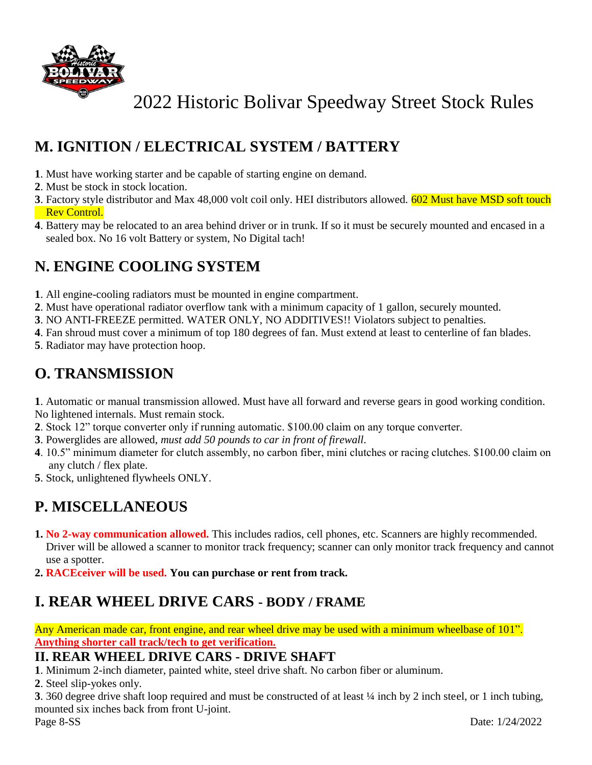

## **M. IGNITION / ELECTRICAL SYSTEM / BATTERY**

- **1**. Must have working starter and be capable of starting engine on demand.
- **2**. Must be stock in stock location.
- **3**. Factory style distributor and Max 48,000 volt coil only. HEI distributors allowed. 602 Must have MSD soft touch Rev Control.
- **4**. Battery may be relocated to an area behind driver or in trunk. If so it must be securely mounted and encased in a sealed box. No 16 volt Battery or system, No Digital tach!

## **N. ENGINE COOLING SYSTEM**

- **1**. All engine-cooling radiators must be mounted in engine compartment.
- **2**. Must have operational radiator overflow tank with a minimum capacity of 1 gallon, securely mounted.
- **3**. NO ANTI-FREEZE permitted. WATER ONLY, NO ADDITIVES!! Violators subject to penalties.
- **4**. Fan shroud must cover a minimum of top 180 degrees of fan. Must extend at least to centerline of fan blades.
- **5**. Radiator may have protection hoop.

### **O. TRANSMISSION**

**1**. Automatic or manual transmission allowed. Must have all forward and reverse gears in good working condition. No lightened internals. Must remain stock.

- **2**. Stock 12" torque converter only if running automatic. \$100.00 claim on any torque converter.
- **3**. Powerglides are allowed, *must add 50 pounds to car in front of firewall.*
- **4**. 10.5" minimum diameter for clutch assembly, no carbon fiber, mini clutches or racing clutches. \$100.00 claim on any clutch / flex plate.
- **5**. Stock, unlightened flywheels ONLY.

## **P. MISCELLANEOUS**

- **1. No 2-way communication allowed.** This includes radios, cell phones, etc. Scanners are highly recommended. Driver will be allowed a scanner to monitor track frequency; scanner can only monitor track frequency and cannot use a spotter.
- **2. RACEceiver will be used. You can purchase or rent from track.**

### **I. REAR WHEEL DRIVE CARS - BODY / FRAME**

Any American made car, front engine, and rear wheel drive may be used with a minimum wheelbase of 101". **Anything shorter call track/tech to get verification.**

### **II. REAR WHEEL DRIVE CARS - DRIVE SHAFT**

**1**. Minimum 2-inch diameter, painted white, steel drive shaft. No carbon fiber or aluminum.

**2**. Steel slip-yokes only.

**3**. 360 degree drive shaft loop required and must be constructed of at least ¼ inch by 2 inch steel, or 1 inch tubing, mounted six inches back from front U-joint.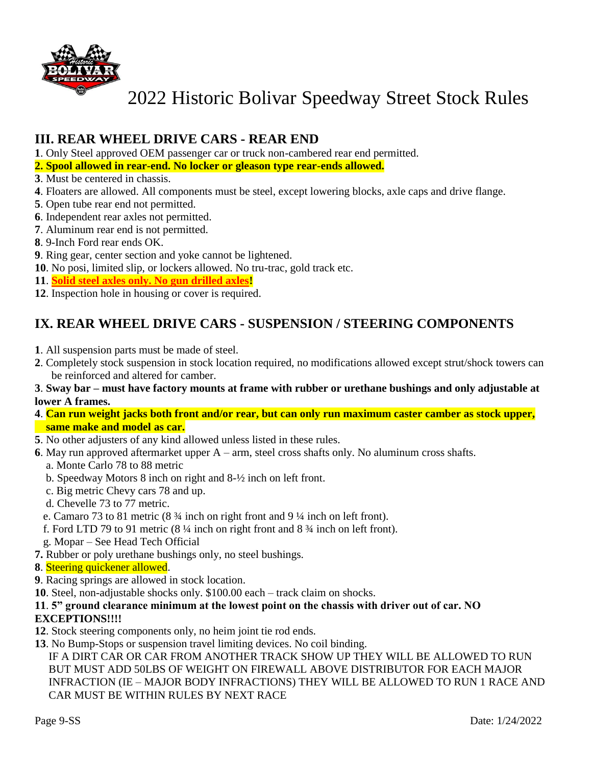

### **III. REAR WHEEL DRIVE CARS - REAR END**

**1**. Only Steel approved OEM passenger car or truck non-cambered rear end permitted.

- **2. Spool allowed in rear-end. No locker or gleason type rear-ends allowed.**
- **3**. Must be centered in chassis.
- **4**. Floaters are allowed. All components must be steel, except lowering blocks, axle caps and drive flange.
- **5**. Open tube rear end not permitted.
- **6**. Independent rear axles not permitted.
- **7**. Aluminum rear end is not permitted.
- **8**. 9-Inch Ford rear ends OK.
- **9**. Ring gear, center section and yoke cannot be lightened.
- **10**. No posi, limited slip, or lockers allowed. No tru-trac, gold track etc.
- **11**. **Solid steel axles only. No gun drilled axles!**
- **12**. Inspection hole in housing or cover is required.

### **IX. REAR WHEEL DRIVE CARS - SUSPENSION / STEERING COMPONENTS**

- **1**. All suspension parts must be made of steel.
- **2**. Completely stock suspension in stock location required, no modifications allowed except strut/shock towers can be reinforced and altered for camber.

#### **3**. **Sway bar – must have factory mounts at frame with rubber or urethane bushings and only adjustable at lower A frames.**

- **4**. **Can run weight jacks both front and/or rear, but can only run maximum caster camber as stock upper, same make and model as car.**
- **5**. No other adjusters of any kind allowed unless listed in these rules.
- **6**. May run approved aftermarket upper A arm, steel cross shafts only. No aluminum cross shafts.
	- a. Monte Carlo 78 to 88 metric
	- b. Speedway Motors 8 inch on right and 8-½ inch on left front.
	- c. Big metric Chevy cars 78 and up.
	- d. Chevelle 73 to 77 metric.
	- e. Camaro 73 to 81 metric (8 ¾ inch on right front and 9 ¼ inch on left front).
	- f. Ford LTD 79 to 91 metric (8 ¼ inch on right front and 8 ¾ inch on left front).
	- g. Mopar See Head Tech Official
- **7.** Rubber or poly urethane bushings only, no steel bushings.
- **8**. Steering quickener allowed.
- **9**. Racing springs are allowed in stock location.
- **10**. Steel, non-adjustable shocks only. \$100.00 each track claim on shocks.

#### **11**. **5" ground clearance minimum at the lowest point on the chassis with driver out of car. NO EXCEPTIONS!!!!**

- **12**. Stock steering components only, no heim joint tie rod ends.
- **13**. No Bump-Stops or suspension travel limiting devices. No coil binding.

 IF A DIRT CAR OR CAR FROM ANOTHER TRACK SHOW UP THEY WILL BE ALLOWED TO RUN BUT MUST ADD 50LBS OF WEIGHT ON FIREWALL ABOVE DISTRIBUTOR FOR EACH MAJOR INFRACTION (IE – MAJOR BODY INFRACTIONS) THEY WILL BE ALLOWED TO RUN 1 RACE AND CAR MUST BE WITHIN RULES BY NEXT RACE